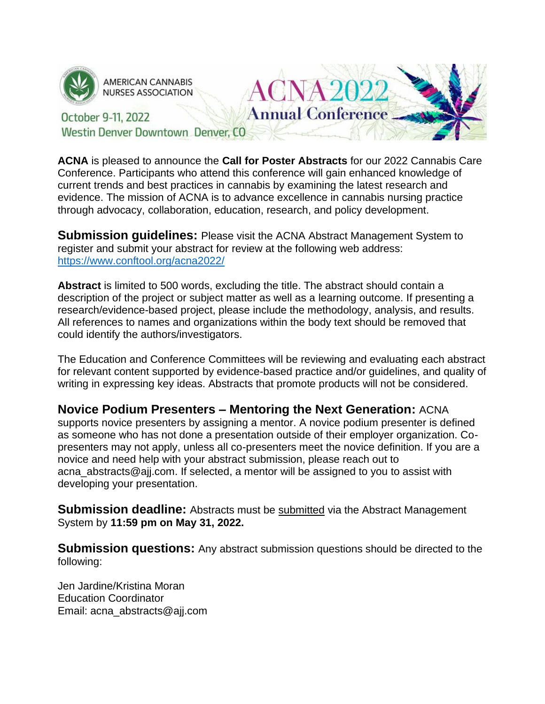

**AMERICAN CANNABIS NURSES ASSOCIATION** 

#### **Annual Conference** October 9-11, 2022 Westin Denver Downtown Denver, CO

**ACNA** is pleased to announce the **Call for Poster Abstracts** for our 2022 Cannabis Care Conference. Participants who attend this conference will gain enhanced knowledge of current trends and best practices in cannabis by examining the latest research and evidence. The mission of ACNA is to advance excellence in cannabis nursing practice through advocacy, collaboration, education, research, and policy development.

CNA20

**Submission guidelines:** Please visit the ACNA Abstract Management System to register and submit your abstract for review at the following web address: <https://www.conftool.org/acna2022/>

**Abstract** is limited to 500 words, excluding the title. The abstract should contain a description of the project or subject matter as well as a learning outcome. If presenting a research/evidence-based project, please include the methodology, analysis, and results. All references to names and organizations within the body text should be removed that could identify the authors/investigators.

The Education and Conference Committees will be reviewing and evaluating each abstract for relevant content supported by evidence-based practice and/or guidelines, and quality of writing in expressing key ideas. Abstracts that promote products will not be considered.

## **Novice Podium Presenters – Mentoring the Next Generation:** ACNA

supports novice presenters by assigning a mentor. A novice podium presenter is defined as someone who has not done a presentation outside of their employer organization. Copresenters may not apply, unless all co-presenters meet the novice definition. If you are a novice and need help with your abstract submission, please reach out to acna abstracts@ajj.com. If selected, a mentor will be assigned to you to assist with developing your presentation.

**Submission deadline:** Abstracts must be submitted via the Abstract Management System by **11:59 pm on May 31, 2022.**

**Submission questions:** Any abstract submission questions should be directed to the following:

Jen Jardine/Kristina Moran Education Coordinator Email: acna\_abstracts@ajj.com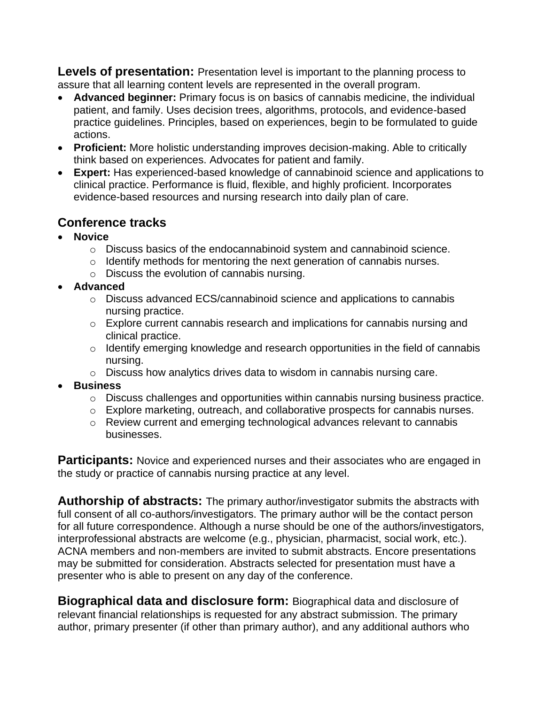**Levels of presentation:** Presentation level is important to the planning process to assure that all learning content levels are represented in the overall program.

- **Advanced beginner:** Primary focus is on basics of cannabis medicine, the individual patient, and family. Uses decision trees, algorithms, protocols, and evidence-based practice guidelines. Principles, based on experiences, begin to be formulated to guide actions.
- **Proficient:** More holistic understanding improves decision-making. Able to critically think based on experiences. Advocates for patient and family.
- **Expert:** Has experienced-based knowledge of cannabinoid science and applications to clinical practice. Performance is fluid, flexible, and highly proficient. Incorporates evidence-based resources and nursing research into daily plan of care.

# **Conference tracks**

- **Novice**
	- o Discuss basics of the endocannabinoid system and cannabinoid science.
	- o Identify methods for mentoring the next generation of cannabis nurses.
	- o Discuss the evolution of cannabis nursing.
- **Advanced**
	- o Discuss advanced ECS/cannabinoid science and applications to cannabis nursing practice.
	- o Explore current cannabis research and implications for cannabis nursing and clinical practice.
	- o Identify emerging knowledge and research opportunities in the field of cannabis nursing.
	- o Discuss how analytics drives data to wisdom in cannabis nursing care.
- **Business**
	- o Discuss challenges and opportunities within cannabis nursing business practice.
	- o Explore marketing, outreach, and collaborative prospects for cannabis nurses.
	- o Review current and emerging technological advances relevant to cannabis businesses.

**Participants:** Novice and experienced nurses and their associates who are engaged in the study or practice of cannabis nursing practice at any level.

**Authorship of abstracts:** The primary author/investigator submits the abstracts with full consent of all co-authors/investigators. The primary author will be the contact person for all future correspondence. Although a nurse should be one of the authors/investigators, interprofessional abstracts are welcome (e.g., physician, pharmacist, social work, etc.). ACNA members and non-members are invited to submit abstracts. Encore presentations may be submitted for consideration. Abstracts selected for presentation must have a presenter who is able to present on any day of the conference.

**Biographical data and disclosure form:** Biographical data and disclosure of relevant financial relationships is requested for any abstract submission. The primary author, primary presenter (if other than primary author), and any additional authors who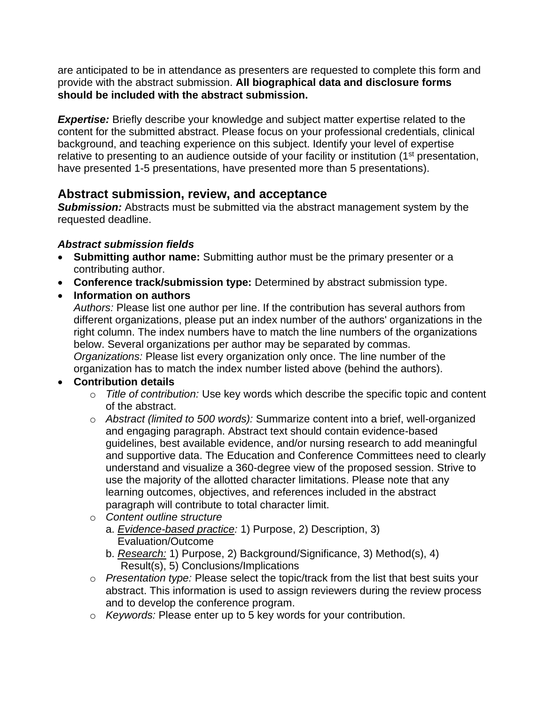are anticipated to be in attendance as presenters are requested to complete this form and provide with the abstract submission. **All biographical data and disclosure forms should be included with the abstract submission.** 

*Expertise:* Briefly describe your knowledge and subject matter expertise related to the content for the submitted abstract. Please focus on your professional credentials, clinical background, and teaching experience on this subject. Identify your level of expertise relative to presenting to an audience outside of your facility or institution (1<sup>st</sup> presentation, have presented 1-5 presentations, have presented more than 5 presentations).

# **Abstract submission, review, and acceptance**

**Submission:** Abstracts must be submitted via the abstract management system by the requested deadline.

#### *Abstract submission fields*

- **Submitting author name:** Submitting author must be the primary presenter or a contributing author.
- **Conference track/submission type:** Determined by abstract submission type.
- **Information on authors**

*Authors:* Please list one author per line. If the contribution has several authors from different organizations, please put an index number of the authors' organizations in the right column. The index numbers have to match the line numbers of the organizations below. Several organizations per author may be separated by commas. *Organizations:* Please list every organization only once. The line number of the organization has to match the index number listed above (behind the authors).

## • **Contribution details**

- o *Title of contribution:* Use key words which describe the specific topic and content of the abstract.
- o *Abstract (limited to 500 words):* Summarize content into a brief, well-organized and engaging paragraph. Abstract text should contain evidence-based guidelines, best available evidence, and/or nursing research to add meaningful and supportive data. The Education and Conference Committees need to clearly understand and visualize a 360-degree view of the proposed session. Strive to use the majority of the allotted character limitations. Please note that any learning outcomes, objectives, and references included in the abstract paragraph will contribute to total character limit.
- o *Content outline structure*
	- a. *Evidence-based practice:* 1) Purpose, 2) Description, 3) Evaluation/Outcome
	- b. *Research:* 1) Purpose, 2) Background/Significance, 3) Method(s), 4) Result(s), 5) Conclusions/Implications
- o *Presentation type:* Please select the topic/track from the list that best suits your abstract. This information is used to assign reviewers during the review process and to develop the conference program.
- o *Keywords:* Please enter up to 5 key words for your contribution.